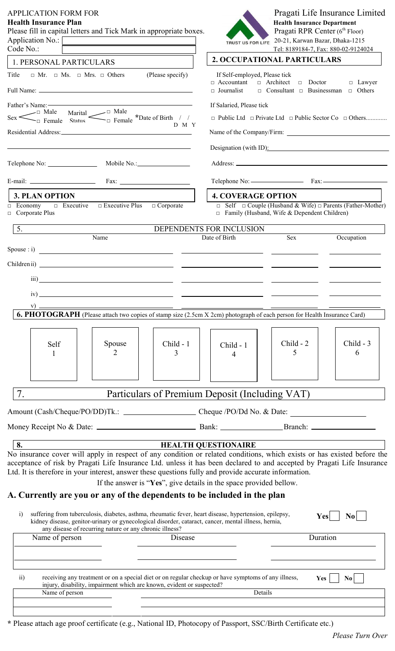| <b>APPLICATION FORM FOR</b><br><b>Health Insurance Plan</b><br>Please fill in capital letters and Tick Mark in appropriate boxes.<br>Application No.: [<br>Code No.:                                                                                                                                                                                                                |                                                                                                                                                                                                                               |                  | <b>TRUST US FOR LIFE</b>                                                                                                                                                                                       | <b>Health Insurance Department</b><br>Pragati RPR Center (6th Floor)<br>20-21, Karwan Bazar, Dhaka-1215 | Pragati Life Insurance Limited<br>Tel: 8189184-7, Fax: 880-02-9124024      |
|-------------------------------------------------------------------------------------------------------------------------------------------------------------------------------------------------------------------------------------------------------------------------------------------------------------------------------------------------------------------------------------|-------------------------------------------------------------------------------------------------------------------------------------------------------------------------------------------------------------------------------|------------------|----------------------------------------------------------------------------------------------------------------------------------------------------------------------------------------------------------------|---------------------------------------------------------------------------------------------------------|----------------------------------------------------------------------------|
| 1. PERSONAL PARTICULARS                                                                                                                                                                                                                                                                                                                                                             |                                                                                                                                                                                                                               |                  |                                                                                                                                                                                                                | 2. OCCUPATIONAL PARTICULARS                                                                             |                                                                            |
| Title                                                                                                                                                                                                                                                                                                                                                                               | $\Box$ Mr. $\Box$ Mrs. $\Box$ Others (Please specify)                                                                                                                                                                         |                  | If Self-employed, Please tick<br>$\Box$ Accountant $\Box$ Architect<br>$\Box$ Journalist                                                                                                                       | $\Box$ Doctor<br>$\Box$ Consultant $\Box$ Businessman                                                   | $\Box$ Lawyer<br>$\Box$ Others                                             |
|                                                                                                                                                                                                                                                                                                                                                                                     |                                                                                                                                                                                                                               |                  |                                                                                                                                                                                                                |                                                                                                         |                                                                            |
| Father's Name:<br>Sex $\leftarrow$ Male Marital $\leftarrow$ Male $\leftarrow$ Male $\leftarrow$ Male $\leftarrow$ Male $\leftarrow$ Male $\leftarrow$ Male $\leftarrow$ Male $\leftarrow$ Male $\leftarrow$ Male $\leftarrow$ Male $\leftarrow$ Male $\leftarrow$ Male $\leftarrow$ Male $\leftarrow$ Male $\leftarrow$ Male $\leftarrow$ Male $\leftarrow$ Male $\leftarrow$ Male |                                                                                                                                                                                                                               |                  | If Salaried, Please tick                                                                                                                                                                                       |                                                                                                         | $\Box$ Public Ltd $\Box$ Private Ltd $\Box$ Public Sector Co $\Box$ Others |
|                                                                                                                                                                                                                                                                                                                                                                                     |                                                                                                                                                                                                                               | D M Y            |                                                                                                                                                                                                                |                                                                                                         |                                                                            |
|                                                                                                                                                                                                                                                                                                                                                                                     | the control of the control of the control of the control of the control of the control of the control of the control of the control of the control of the control of the control of the control of the control of the control |                  |                                                                                                                                                                                                                |                                                                                                         | Designation (with ID):                                                     |
|                                                                                                                                                                                                                                                                                                                                                                                     |                                                                                                                                                                                                                               | Mobile No.: No.: |                                                                                                                                                                                                                |                                                                                                         |                                                                            |
|                                                                                                                                                                                                                                                                                                                                                                                     |                                                                                                                                                                                                                               |                  |                                                                                                                                                                                                                |                                                                                                         |                                                                            |
| <b>3. PLAN OPTION</b>                                                                                                                                                                                                                                                                                                                                                               |                                                                                                                                                                                                                               |                  | <b>4. COVERAGE OPTION</b>                                                                                                                                                                                      |                                                                                                         |                                                                            |
| $\Box$ Executive<br>$\Box$ Economy<br>$\Box$ Corporate Plus                                                                                                                                                                                                                                                                                                                         | $\Box$ Executive Plus $\Box$ Corporate                                                                                                                                                                                        |                  |                                                                                                                                                                                                                | $\Box$ Family (Husband, Wife & Dependent Children)                                                      | $\Box$ Self $\Box$ Couple (Husband & Wife) $\Box$ Parents (Father-Mother)  |
| 5.<br><u> 1989 - Andrea State Barbara, pre</u>                                                                                                                                                                                                                                                                                                                                      | Name                                                                                                                                                                                                                          |                  | DEPENDENTS FOR INCLUSION                                                                                                                                                                                       |                                                                                                         |                                                                            |
|                                                                                                                                                                                                                                                                                                                                                                                     |                                                                                                                                                                                                                               |                  | Date of Birth                                                                                                                                                                                                  | <b>Sex</b>                                                                                              | Occupation                                                                 |
|                                                                                                                                                                                                                                                                                                                                                                                     |                                                                                                                                                                                                                               |                  |                                                                                                                                                                                                                |                                                                                                         |                                                                            |
|                                                                                                                                                                                                                                                                                                                                                                                     |                                                                                                                                                                                                                               |                  |                                                                                                                                                                                                                |                                                                                                         |                                                                            |
| $\overline{iii}$                                                                                                                                                                                                                                                                                                                                                                    | <u> 1989 - Jan Barbara Barbara, manazarta da kasas da kasas da kasas da kasas da kasas da kasas da kasas da kasa</u>                                                                                                          |                  |                                                                                                                                                                                                                |                                                                                                         |                                                                            |
| iv)                                                                                                                                                                                                                                                                                                                                                                                 |                                                                                                                                                                                                                               |                  |                                                                                                                                                                                                                |                                                                                                         |                                                                            |
| <b>6. PHOTOGRAPH</b> (Please attach two copies of stamp size (2.5cm X 2cm) photograph of each person for Health Insurance Card)                                                                                                                                                                                                                                                     |                                                                                                                                                                                                                               |                  |                                                                                                                                                                                                                |                                                                                                         |                                                                            |
|                                                                                                                                                                                                                                                                                                                                                                                     |                                                                                                                                                                                                                               |                  |                                                                                                                                                                                                                |                                                                                                         |                                                                            |
|                                                                                                                                                                                                                                                                                                                                                                                     |                                                                                                                                                                                                                               |                  |                                                                                                                                                                                                                |                                                                                                         |                                                                            |
| Self                                                                                                                                                                                                                                                                                                                                                                                | Spouse<br>2                                                                                                                                                                                                                   | Child - 1<br>3   | Child - 1<br>4                                                                                                                                                                                                 | Child - 2<br>5                                                                                          | Child - 3<br>6                                                             |
|                                                                                                                                                                                                                                                                                                                                                                                     |                                                                                                                                                                                                                               |                  |                                                                                                                                                                                                                |                                                                                                         |                                                                            |
|                                                                                                                                                                                                                                                                                                                                                                                     |                                                                                                                                                                                                                               |                  |                                                                                                                                                                                                                |                                                                                                         |                                                                            |
| 7.                                                                                                                                                                                                                                                                                                                                                                                  |                                                                                                                                                                                                                               |                  | Particulars of Premium Deposit (Including VAT)                                                                                                                                                                 |                                                                                                         |                                                                            |
|                                                                                                                                                                                                                                                                                                                                                                                     |                                                                                                                                                                                                                               |                  |                                                                                                                                                                                                                |                                                                                                         |                                                                            |
|                                                                                                                                                                                                                                                                                                                                                                                     |                                                                                                                                                                                                                               |                  |                                                                                                                                                                                                                |                                                                                                         |                                                                            |
|                                                                                                                                                                                                                                                                                                                                                                                     |                                                                                                                                                                                                                               |                  |                                                                                                                                                                                                                |                                                                                                         |                                                                            |
| 8. <b>IEALTH QUESTIONAIRE</b><br>No insurance cover will apply in respect of any condition or related conditions, which exists or has existed before the<br>acceptance of risk by Pragati Life Insurance Ltd. unless it has been declared to and accepted by Pragati Life Insurance                                                                                                 |                                                                                                                                                                                                                               |                  |                                                                                                                                                                                                                |                                                                                                         |                                                                            |
| Ltd. It is therefore in your interest, answer these questions fully and provide accurate information.                                                                                                                                                                                                                                                                               |                                                                                                                                                                                                                               |                  |                                                                                                                                                                                                                |                                                                                                         |                                                                            |
| A. Currently are you or any of the dependents to be included in the plan                                                                                                                                                                                                                                                                                                            |                                                                                                                                                                                                                               |                  | If the answer is "Yes", give details in the space provided bellow.                                                                                                                                             |                                                                                                         |                                                                            |
| $\ddot{1}$                                                                                                                                                                                                                                                                                                                                                                          |                                                                                                                                                                                                                               |                  | suffering from tuberculosis, diabetes, asthma, rheumatic fever, heart disease, hypertension, epilepsy,<br>kidney disease, genitor-urinary or gynecological disorder, cataract, cancer, mental illness, hernia, |                                                                                                         | <b>Yes</b><br>N <sub>0</sub>                                               |
|                                                                                                                                                                                                                                                                                                                                                                                     | any disease of recurring nature or any chronic illness?                                                                                                                                                                       |                  |                                                                                                                                                                                                                |                                                                                                         |                                                                            |
| Name of person                                                                                                                                                                                                                                                                                                                                                                      |                                                                                                                                                                                                                               | Disease          |                                                                                                                                                                                                                |                                                                                                         | Duration                                                                   |
|                                                                                                                                                                                                                                                                                                                                                                                     |                                                                                                                                                                                                                               |                  |                                                                                                                                                                                                                |                                                                                                         |                                                                            |
| $\overline{ii}$<br>Name of person                                                                                                                                                                                                                                                                                                                                                   | injury, disability, impairment which are known, evident or suspected?                                                                                                                                                         |                  | receiving any treatment or on a special diet or on regular checkup or have symptoms of any illness,<br>Details                                                                                                 | Yes                                                                                                     | N <sub>0</sub>                                                             |
|                                                                                                                                                                                                                                                                                                                                                                                     |                                                                                                                                                                                                                               |                  |                                                                                                                                                                                                                |                                                                                                         |                                                                            |
|                                                                                                                                                                                                                                                                                                                                                                                     |                                                                                                                                                                                                                               |                  |                                                                                                                                                                                                                |                                                                                                         |                                                                            |

**\*** Please attach age proof certificate (e.g., National ID, Photocopy of Passport, SSC/Birth Certificate etc.)